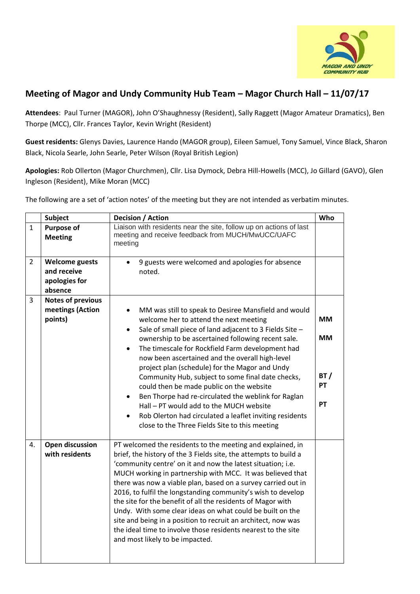

## **Meeting of Magor and Undy Community Hub Team – Magor Church Hall – 11/07/17**

**Attendees**: Paul Turner (MAGOR), John O'Shaughnessy (Resident), Sally Raggett (Magor Amateur Dramatics), Ben Thorpe (MCC), Cllr. Frances Taylor, Kevin Wright (Resident)

**Guest residents:** Glenys Davies, Laurence Hando (MAGOR group), Eileen Samuel, Tony Samuel, Vince Black, Sharon Black, Nicola Searle, John Searle, Peter Wilson (Royal British Legion)

**Apologies:** Rob Ollerton (Magor Churchmen), Cllr. Lisa Dymock, Debra Hill-Howells (MCC), Jo Gillard (GAVO), Glen Ingleson (Resident), Mike Moran (MCC)

The following are a set of 'action notes' of the meeting but they are not intended as verbatim minutes.

|                | <b>Subject</b>                                                   | Decision / Action                                                                                                                                                                                                                                                                                                                                                                                                                                                                                                                                                                                                                                                                                                                            | Who                                       |
|----------------|------------------------------------------------------------------|----------------------------------------------------------------------------------------------------------------------------------------------------------------------------------------------------------------------------------------------------------------------------------------------------------------------------------------------------------------------------------------------------------------------------------------------------------------------------------------------------------------------------------------------------------------------------------------------------------------------------------------------------------------------------------------------------------------------------------------------|-------------------------------------------|
| $\mathbf{1}$   | Purpose of<br><b>Meeting</b>                                     | Liaison with residents near the site, follow up on actions of last<br>meeting and receive feedback from MUCH/MwUCC/UAFC<br>meeting                                                                                                                                                                                                                                                                                                                                                                                                                                                                                                                                                                                                           |                                           |
| $\overline{2}$ | <b>Welcome guests</b><br>and receive<br>apologies for<br>absence | 9 guests were welcomed and apologies for absence<br>noted.                                                                                                                                                                                                                                                                                                                                                                                                                                                                                                                                                                                                                                                                                   |                                           |
| 3              | <b>Notes of previous</b><br>meetings (Action<br>points)          | MM was still to speak to Desiree Mansfield and would<br>$\bullet$<br>welcome her to attend the next meeting<br>Sale of small piece of land adjacent to 3 Fields Site -<br>$\bullet$<br>ownership to be ascertained following recent sale.<br>The timescale for Rockfield Farm development had<br>$\bullet$<br>now been ascertained and the overall high-level<br>project plan (schedule) for the Magor and Undy<br>Community Hub, subject to some final date checks,<br>could then be made public on the website<br>Ben Thorpe had re-circulated the weblink for Raglan<br>$\bullet$<br>Hall - PT would add to the MUCH website<br>Rob Olerton had circulated a leaflet inviting residents<br>close to the Three Fields Site to this meeting | <b>MM</b><br><b>MM</b><br>BT/<br>PT<br>PT |
| 4.             | <b>Open discussion</b><br>with residents                         | PT welcomed the residents to the meeting and explained, in<br>brief, the history of the 3 Fields site, the attempts to build a<br>'community centre' on it and now the latest situation; i.e.<br>MUCH working in partnership with MCC. It was believed that<br>there was now a viable plan, based on a survey carried out in<br>2016, to fulfil the longstanding community's wish to develop<br>the site for the benefit of all the residents of Magor with<br>Undy. With some clear ideas on what could be built on the<br>site and being in a position to recruit an architect, now was<br>the ideal time to involve those residents nearest to the site<br>and most likely to be impacted.                                                |                                           |